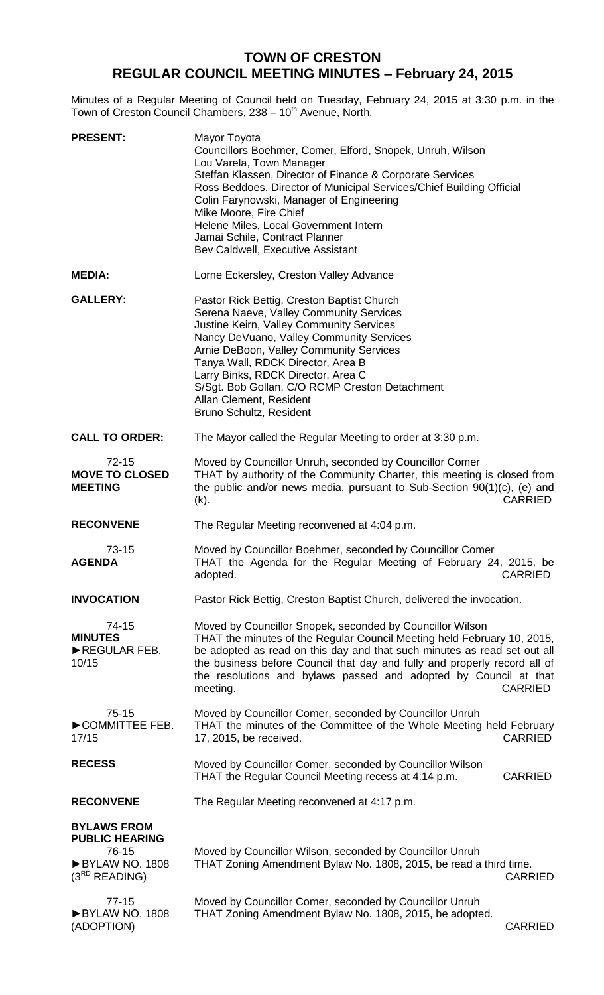# **TOWN OF CRESTON REGULAR COUNCIL MEETING MINUTES – February 24, 2015**

Minutes of a Regular Meeting of Council held on Tuesday, February 24, 2015 at 3:30 p.m. in the Town of Creston Council Chambers, 238 - 10<sup>th</sup> Avenue, North.

| <b>PRESENT:</b>                                                                              | Mayor Toyota<br>Councillors Boehmer, Comer, Elford, Snopek, Unruh, Wilson<br>Lou Varela, Town Manager<br>Steffan Klassen, Director of Finance & Corporate Services<br>Ross Beddoes, Director of Municipal Services/Chief Building Official<br>Colin Farynowski, Manager of Engineering<br>Mike Moore, Fire Chief<br>Helene Miles, Local Government Intern<br>Jamai Schile, Contract Planner<br>Bev Caldwell, Executive Assistant |
|----------------------------------------------------------------------------------------------|----------------------------------------------------------------------------------------------------------------------------------------------------------------------------------------------------------------------------------------------------------------------------------------------------------------------------------------------------------------------------------------------------------------------------------|
| <b>MEDIA:</b>                                                                                | Lorne Eckersley, Creston Valley Advance                                                                                                                                                                                                                                                                                                                                                                                          |
| <b>GALLERY:</b>                                                                              | Pastor Rick Bettig, Creston Baptist Church<br>Serena Naeve, Valley Community Services<br>Justine Keirn, Valley Community Services<br>Nancy DeVuano, Valley Community Services<br>Arnie DeBoon, Valley Community Services<br>Tanya Wall, RDCK Director, Area B<br>Larry Binks, RDCK Director, Area C<br>S/Sgt. Bob Gollan, C/O RCMP Creston Detachment<br>Allan Clement, Resident<br>Bruno Schultz, Resident                      |
| <b>CALL TO ORDER:</b>                                                                        | The Mayor called the Regular Meeting to order at 3:30 p.m.                                                                                                                                                                                                                                                                                                                                                                       |
| $72 - 15$<br><b>MOVE TO CLOSED</b><br><b>MEETING</b>                                         | Moved by Councillor Unruh, seconded by Councillor Comer<br>THAT by authority of the Community Charter, this meeting is closed from<br>the public and/or news media, pursuant to Sub-Section $90(1)(c)$ , (e) and<br><b>CARRIED</b><br>$(k)$ .                                                                                                                                                                                    |
| <b>RECONVENE</b>                                                                             | The Regular Meeting reconvened at 4:04 p.m.                                                                                                                                                                                                                                                                                                                                                                                      |
| $73-15$<br><b>AGENDA</b>                                                                     | Moved by Councillor Boehmer, seconded by Councillor Comer<br>THAT the Agenda for the Regular Meeting of February 24, 2015, be<br><b>CARRIED</b><br>adopted.                                                                                                                                                                                                                                                                      |
| <b>INVOCATION</b>                                                                            | Pastor Rick Bettig, Creston Baptist Church, delivered the invocation.                                                                                                                                                                                                                                                                                                                                                            |
| $74 - 15$<br><b>MINUTES</b><br>REGULAR FEB.<br>10/15                                         | Moved by Councillor Snopek, seconded by Councillor Wilson<br>THAT the minutes of the Regular Council Meeting held February 10, 2015,<br>be adopted as read on this day and that such minutes as read set out all<br>the business before Council that day and fully and properly record all of<br>the resolutions and bylaws passed and adopted by Council at that<br><b>CARRIED</b><br>meeting.                                  |
| $75-15$<br>COMMITTEE FEB.<br>17/15                                                           | Moved by Councillor Comer, seconded by Councillor Unruh<br>THAT the minutes of the Committee of the Whole Meeting held February<br>17, 2015, be received.<br><b>CARRIED</b>                                                                                                                                                                                                                                                      |
| <b>RECESS</b>                                                                                | Moved by Councillor Comer, seconded by Councillor Wilson<br>THAT the Regular Council Meeting recess at 4:14 p.m.<br><b>CARRIED</b>                                                                                                                                                                                                                                                                                               |
| <b>RECONVENE</b>                                                                             | The Regular Meeting reconvened at 4:17 p.m.                                                                                                                                                                                                                                                                                                                                                                                      |
| <b>BYLAWS FROM</b><br><b>PUBLIC HEARING</b><br>76-15<br>BYLAW NO. 1808<br>$(3^{RD}$ READING) | Moved by Councillor Wilson, seconded by Councillor Unruh<br>THAT Zoning Amendment Bylaw No. 1808, 2015, be read a third time.<br><b>CARRIED</b>                                                                                                                                                                                                                                                                                  |
| $77-15$<br>BYLAW NO. 1808<br>(ADOPTION)                                                      | Moved by Councillor Comer, seconded by Councillor Unruh<br>THAT Zoning Amendment Bylaw No. 1808, 2015, be adopted.<br><b>CARRIED</b>                                                                                                                                                                                                                                                                                             |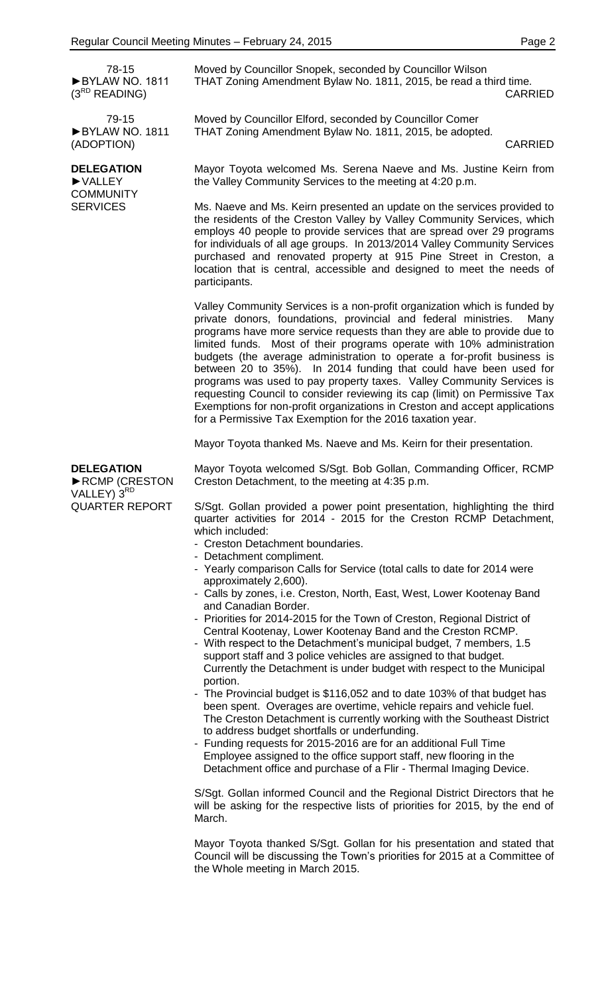78-15 ►BYLAW NO. 1811  $(3^{RD}$  READING)

79-15 ►BYLAW NO. 1811 (ADOPTION)

# **DELEGATION**

►VALLEY **COMMUNITY SERVICES** 

Moved by Councillor Snopek, seconded by Councillor Wilson THAT Zoning Amendment Bylaw No. 1811, 2015, be read a third time. CARRIED

Moved by Councillor Elford, seconded by Councillor Comer THAT Zoning Amendment Bylaw No. 1811, 2015, be adopted.

CARRIED

Mayor Toyota welcomed Ms. Serena Naeve and Ms. Justine Keirn from the Valley Community Services to the meeting at 4:20 p.m.

Ms. Naeve and Ms. Keirn presented an update on the services provided to the residents of the Creston Valley by Valley Community Services, which employs 40 people to provide services that are spread over 29 programs for individuals of all age groups. In 2013/2014 Valley Community Services purchased and renovated property at 915 Pine Street in Creston, a location that is central, accessible and designed to meet the needs of participants.

Valley Community Services is a non-profit organization which is funded by private donors, foundations, provincial and federal ministries. Many programs have more service requests than they are able to provide due to limited funds. Most of their programs operate with 10% administration budgets (the average administration to operate a for-profit business is between 20 to 35%). In 2014 funding that could have been used for programs was used to pay property taxes. Valley Community Services is requesting Council to consider reviewing its cap (limit) on Permissive Tax Exemptions for non-profit organizations in Creston and accept applications for a Permissive Tax Exemption for the 2016 taxation year.

Mayor Toyota thanked Ms. Naeve and Ms. Keirn for their presentation.

**DELEGATION** ►RCMP (CRESTON VALLEY) 3RD QUARTER REPORT

Mayor Toyota welcomed S/Sgt. Bob Gollan, Commanding Officer, RCMP Creston Detachment, to the meeting at 4:35 p.m.

S/Sgt. Gollan provided a power point presentation, highlighting the third quarter activities for 2014 - 2015 for the Creston RCMP Detachment, which included:

- Creston Detachment boundaries.
- Detachment compliment.
- Yearly comparison Calls for Service (total calls to date for 2014 were approximately 2,600).
- Calls by zones, i.e. Creston, North, East, West, Lower Kootenay Band and Canadian Border.
- Priorities for 2014-2015 for the Town of Creston, Regional District of Central Kootenay, Lower Kootenay Band and the Creston RCMP.
- With respect to the Detachment's municipal budget, 7 members, 1.5 support staff and 3 police vehicles are assigned to that budget. Currently the Detachment is under budget with respect to the Municipal portion.
- The Provincial budget is \$116,052 and to date 103% of that budget has been spent. Overages are overtime, vehicle repairs and vehicle fuel. The Creston Detachment is currently working with the Southeast District to address budget shortfalls or underfunding.
- Funding requests for 2015-2016 are for an additional Full Time Employee assigned to the office support staff, new flooring in the Detachment office and purchase of a Flir - Thermal Imaging Device.

S/Sgt. Gollan informed Council and the Regional District Directors that he will be asking for the respective lists of priorities for 2015, by the end of March.

Mayor Toyota thanked S/Sgt. Gollan for his presentation and stated that Council will be discussing the Town's priorities for 2015 at a Committee of the Whole meeting in March 2015.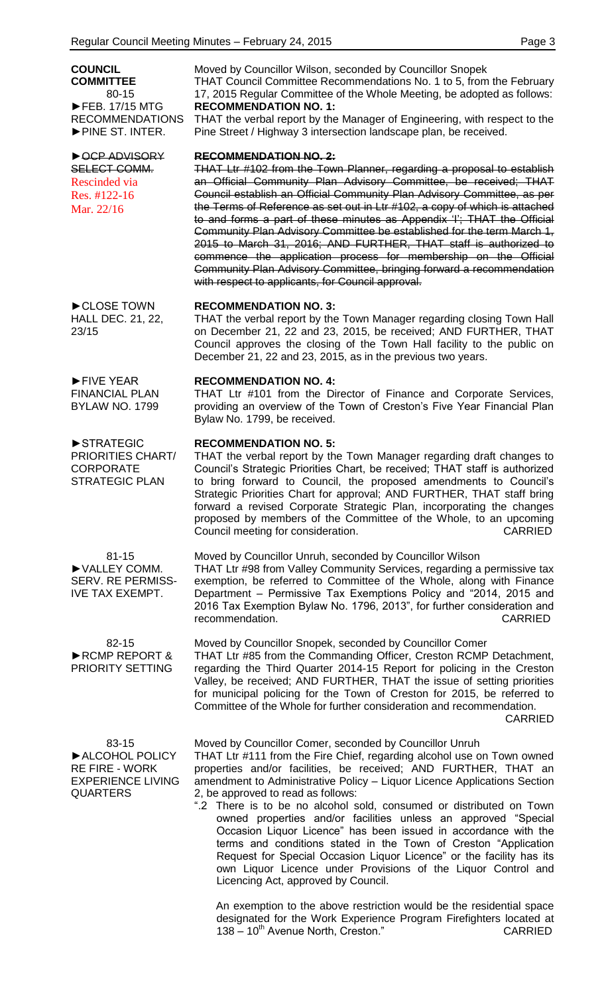**COUNCIL COMMITTEE** 80-15 ►FEB. 17/15 MTG RECOMMENDATIONS ►PINE ST. INTER.

#### ►OCP ADVISORY SELECT COMM. Rescinded via Res. #122-16 Mar. 22/16

►CLOSE TOWN HALL DEC. 21, 22, 23/15

►FIVE YEAR FINANCIAL PLAN BYLAW NO. 1799

►STRATEGIC PRIORITIES CHART/ **CORPORATE** STRATEGIC PLAN

81-15 ►VALLEY COMM. SERV. RE PERMISS-IVE TAX EXEMPT.

Moved by Councillor Unruh, seconded by Councillor Wilson

82-15 ►RCMP REPORT & PRIORITY SETTING Moved by Councillor Snopek, seconded by Councillor Comer THAT Ltr #85 from the Commanding Officer, Creston RCMP Detachment, regarding the Third Quarter 2014-15 Report for policing in the Creston Valley, be received; AND FURTHER, THAT the issue of setting priorities for municipal policing for the Town of Creston for 2015, be referred to Committee of the Whole for further consideration and recommendation.

83-15 ►ALCOHOL POLICY RE FIRE - WORK EXPERIENCE LIVING QUARTERS

Moved by Councillor Wilson, seconded by Councillor Snopek THAT Council Committee Recommendations No. 1 to 5, from the February 17, 2015 Regular Committee of the Whole Meeting, be adopted as follows: **RECOMMENDATION NO. 1:**

THAT the verbal report by the Manager of Engineering, with respect to the Pine Street / Highway 3 intersection landscape plan, be received.

#### **RECOMMENDATION NO. 2:**

THAT Ltr #102 from the Town Planner, regarding a proposal to establish an Official Community Plan Advisory Committee, be received; THAT Council establish an Official Community Plan Advisory Committee, as per the Terms of Reference as set out in Ltr #102, a copy of which is attached to and forms a part of these minutes as Appendix 'I'; THAT the Official Community Plan Advisory Committee be established for the term March 1, 2015 to March 31, 2016; AND FURTHER, THAT staff is authorized to commence the application process for membership on the Official Community Plan Advisory Committee, bringing forward a recommendation with respect to applicants, for Council approval.

# **RECOMMENDATION NO. 3:**

THAT the verbal report by the Town Manager regarding closing Town Hall on December 21, 22 and 23, 2015, be received; AND FURTHER, THAT Council approves the closing of the Town Hall facility to the public on December 21, 22 and 23, 2015, as in the previous two years.

# **RECOMMENDATION NO. 4:**

THAT Ltr #101 from the Director of Finance and Corporate Services, providing an overview of the Town of Creston's Five Year Financial Plan Bylaw No. 1799, be received.

# **RECOMMENDATION NO. 5:**

THAT the verbal report by the Town Manager regarding draft changes to Council's Strategic Priorities Chart, be received; THAT staff is authorized to bring forward to Council, the proposed amendments to Council's Strategic Priorities Chart for approval; AND FURTHER, THAT staff bring forward a revised Corporate Strategic Plan, incorporating the changes proposed by members of the Committee of the Whole, to an upcoming Council meeting for consideration. CARRIED

THAT Ltr #98 from Valley Community Services, regarding a permissive tax exemption, be referred to Committee of the Whole, along with Finance Department – Permissive Tax Exemptions Policy and "2014, 2015 and 2016 Tax Exemption Bylaw No. 1796, 2013", for further consideration and recommendation. The commendation of the commendation of the commendation of the commendation of the comment of the comment of the comment of the comment of the comment of the comment of the comment of the comment of the co

CARRIED Moved by Councillor Comer, seconded by Councillor Unruh THAT Ltr #111 from the Fire Chief, regarding alcohol use on Town owned properties and/or facilities, be received; AND FURTHER, THAT an amendment to Administrative Policy – Liquor Licence Applications Section

2, be approved to read as follows: ".2 There is to be no alcohol sold, consumed or distributed on Town owned properties and/or facilities unless an approved "Special Occasion Liquor Licence" has been issued in accordance with the terms and conditions stated in the Town of Creston "Application Request for Special Occasion Liquor Licence" or the facility has its own Liquor Licence under Provisions of the Liquor Control and Licencing Act, approved by Council.

An exemption to the above restriction would be the residential space designated for the Work Experience Program Firefighters located at 138 – 10<sup>th</sup> Avenue North, Creston." CARRIED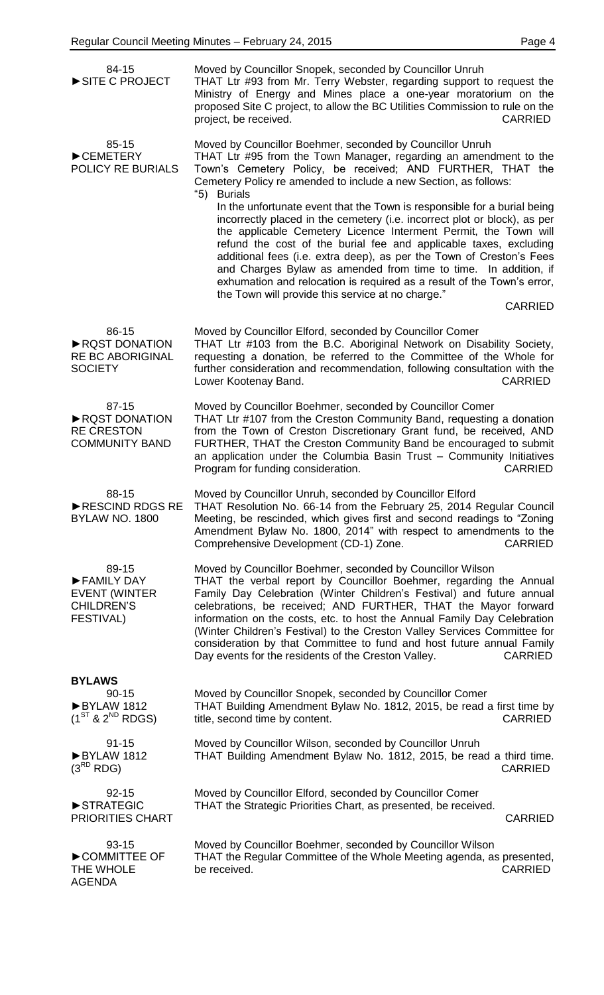| 84-15<br>SITE C PROJECT                                                              | Moved by Councillor Snopek, seconded by Councillor Unruh<br>THAT Ltr #93 from Mr. Terry Webster, regarding support to request the<br>Ministry of Energy and Mines place a one-year moratorium on the<br>proposed Site C project, to allow the BC Utilities Commission to rule on the<br><b>CARRIED</b><br>project, be received.                                                                                                                                                                                                                                                           |
|--------------------------------------------------------------------------------------|-------------------------------------------------------------------------------------------------------------------------------------------------------------------------------------------------------------------------------------------------------------------------------------------------------------------------------------------------------------------------------------------------------------------------------------------------------------------------------------------------------------------------------------------------------------------------------------------|
| 85-15<br>CEMETERY<br>POLICY RE BURIALS                                               | Moved by Councillor Boehmer, seconded by Councillor Unruh<br>THAT Ltr #95 from the Town Manager, regarding an amendment to the<br>Town's Cemetery Policy, be received; AND FURTHER, THAT the<br>Cemetery Policy re amended to include a new Section, as follows:<br>"5)<br><b>Burials</b>                                                                                                                                                                                                                                                                                                 |
|                                                                                      | In the unfortunate event that the Town is responsible for a burial being<br>incorrectly placed in the cemetery (i.e. incorrect plot or block), as per<br>the applicable Cemetery Licence Interment Permit, the Town will<br>refund the cost of the burial fee and applicable taxes, excluding<br>additional fees (i.e. extra deep), as per the Town of Creston's Fees<br>and Charges Bylaw as amended from time to time. In addition, if<br>exhumation and relocation is required as a result of the Town's error,<br>the Town will provide this service at no charge."<br><b>CARRIED</b> |
| 86-15<br>RQST DONATION<br><b>RE BC ABORIGINAL</b><br><b>SOCIETY</b>                  | Moved by Councillor Elford, seconded by Councillor Comer<br>THAT Ltr #103 from the B.C. Aboriginal Network on Disability Society,<br>requesting a donation, be referred to the Committee of the Whole for<br>further consideration and recommendation, following consultation with the<br><b>CARRIED</b><br>Lower Kootenay Band.                                                                                                                                                                                                                                                          |
| 87-15<br>RQST DONATION<br><b>RE CRESTON</b><br><b>COMMUNITY BAND</b>                 | Moved by Councillor Boehmer, seconded by Councillor Comer<br>THAT Ltr #107 from the Creston Community Band, requesting a donation<br>from the Town of Creston Discretionary Grant fund, be received, AND<br>FURTHER, THAT the Creston Community Band be encouraged to submit<br>an application under the Columbia Basin Trust - Community Initiatives<br>Program for funding consideration.<br><b>CARRIED</b>                                                                                                                                                                             |
| 88-15<br>RESCIND RDGS RE<br><b>BYLAW NO. 1800</b>                                    | Moved by Councillor Unruh, seconded by Councillor Elford<br>THAT Resolution No. 66-14 from the February 25, 2014 Regular Council<br>Meeting, be rescinded, which gives first and second readings to "Zoning<br>Amendment Bylaw No. 1800, 2014" with respect to amendments to the<br>Comprehensive Development (CD-1) Zone.<br><b>CARRIED</b>                                                                                                                                                                                                                                              |
| 89-15<br>FAMILY DAY<br><b>EVENT (WINTER</b><br><b>CHILDREN'S</b><br><b>FESTIVAL)</b> | Moved by Councillor Boehmer, seconded by Councillor Wilson<br>THAT the verbal report by Councillor Boehmer, regarding the Annual<br>Family Day Celebration (Winter Children's Festival) and future annual<br>celebrations, be received; AND FURTHER, THAT the Mayor forward<br>information on the costs, etc. to host the Annual Family Day Celebration<br>(Winter Children's Festival) to the Creston Valley Services Committee for<br>consideration by that Committee to fund and host future annual Family<br>Day events for the residents of the Creston Valley.<br><b>CARRIED</b>    |
| <b>BYLAWS</b>                                                                        |                                                                                                                                                                                                                                                                                                                                                                                                                                                                                                                                                                                           |
| $90 - 15$<br>BYLAW 1812<br>$(1^{ST}$ & $2^{ND}$ RDGS)                                | Moved by Councillor Snopek, seconded by Councillor Comer<br>THAT Building Amendment Bylaw No. 1812, 2015, be read a first time by<br>title, second time by content.<br><b>CARRIED</b>                                                                                                                                                                                                                                                                                                                                                                                                     |
| $91 - 15$<br>BYLAW 1812<br>$(3^{RD}$ RDG)                                            | Moved by Councillor Wilson, seconded by Councillor Unruh<br>THAT Building Amendment Bylaw No. 1812, 2015, be read a third time.<br><b>CARRIED</b>                                                                                                                                                                                                                                                                                                                                                                                                                                         |
| $92 - 15$<br>STRATEGIC<br><b>PRIORITIES CHART</b>                                    | Moved by Councillor Elford, seconded by Councillor Comer<br>THAT the Strategic Priorities Chart, as presented, be received.<br><b>CARRIED</b>                                                                                                                                                                                                                                                                                                                                                                                                                                             |
| 93-15<br>COMMITTEE OF<br>THE WHOLE<br><b>AGENDA</b>                                  | Moved by Councillor Boehmer, seconded by Councillor Wilson<br>THAT the Regular Committee of the Whole Meeting agenda, as presented,<br>be received.<br><b>CARRIED</b>                                                                                                                                                                                                                                                                                                                                                                                                                     |